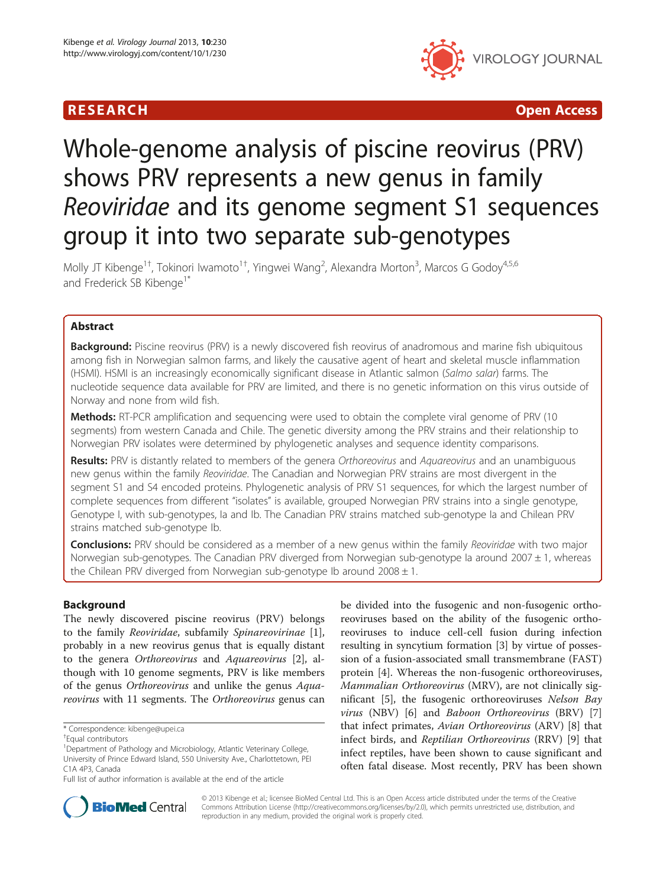# **RESEARCH CHE Open Access**



# Whole-genome analysis of piscine reovirus (PRV) shows PRV represents a new genus in family Reoviridae and its genome segment S1 sequences group it into two separate sub-genotypes

Molly JT Kibenge<sup>1+</sup>, Tokinori Iwamoto<sup>1+</sup>, Yingwei Wang<sup>2</sup>, Alexandra Morton<sup>3</sup>, Marcos G Godoy<sup>4,5,6</sup> and Frederick SB Kibenge<sup>1\*</sup>

# Abstract

Background: Piscine reovirus (PRV) is a newly discovered fish reovirus of anadromous and marine fish ubiquitous among fish in Norwegian salmon farms, and likely the causative agent of heart and skeletal muscle inflammation (HSMI). HSMI is an increasingly economically significant disease in Atlantic salmon (Salmo salar) farms. The nucleotide sequence data available for PRV are limited, and there is no genetic information on this virus outside of Norway and none from wild fish.

**Methods:** RT-PCR amplification and sequencing were used to obtain the complete viral genome of PRV (10 segments) from western Canada and Chile. The genetic diversity among the PRV strains and their relationship to Norwegian PRV isolates were determined by phylogenetic analyses and sequence identity comparisons.

Results: PRV is distantly related to members of the genera Orthoreovirus and Aquareovirus and an unambiguous new genus within the family Reoviridae. The Canadian and Norwegian PRV strains are most divergent in the segment S1 and S4 encoded proteins. Phylogenetic analysis of PRV S1 sequences, for which the largest number of complete sequences from different "isolates" is available, grouped Norwegian PRV strains into a single genotype, Genotype I, with sub-genotypes, Ia and Ib. The Canadian PRV strains matched sub-genotype Ia and Chilean PRV strains matched sub-genotype Ib.

**Conclusions:** PRV should be considered as a member of a new genus within the family Reoviridae with two major Norwegian sub-genotypes. The Canadian PRV diverged from Norwegian sub-genotype Ia around 2007  $\pm$  1, whereas the Chilean PRV diverged from Norwegian sub-genotype Ib around  $2008 \pm 1$ .

# Background

The newly discovered piscine reovirus (PRV) belongs to the family Reoviridae, subfamily Spinareovirinae [\[1](#page-18-0)], probably in a new reovirus genus that is equally distant to the genera Orthoreovirus and Aquareovirus [[2](#page-18-0)], although with 10 genome segments, PRV is like members of the genus Orthoreovirus and unlike the genus Aquareovirus with 11 segments. The Orthoreovirus genus can be divided into the fusogenic and non-fusogenic orthoreoviruses based on the ability of the fusogenic orthoreoviruses to induce cell-cell fusion during infection resulting in syncytium formation [[3\]](#page-18-0) by virtue of possession of a fusion-associated small transmembrane (FAST) protein [\[4\]](#page-18-0). Whereas the non-fusogenic orthoreoviruses, Mammalian Orthoreovirus (MRV), are not clinically significant [[5\]](#page-18-0), the fusogenic orthoreoviruses Nelson Bay virus (NBV) [\[6](#page-18-0)] and Baboon Orthoreovirus (BRV) [\[7](#page-18-0)] that infect primates, Avian Orthoreovirus (ARV) [\[8\]](#page-18-0) that infect birds, and Reptilian Orthoreovirus (RRV) [[9](#page-18-0)] that infect reptiles, have been shown to cause significant and often fatal disease. Most recently, PRV has been shown



© 2013 Kibenge et al.; licensee BioMed Central Ltd. This is an Open Access article distributed under the terms of the Creative Commons Attribution License [\(http://creativecommons.org/licenses/by/2.0\)](http://creativecommons.org/licenses/by/2.0), which permits unrestricted use, distribution, and reproduction in any medium, provided the original work is properly cited.

<sup>\*</sup> Correspondence: [kibenge@upei.ca](mailto:kibenge@upei.ca) †

Equal contributors

<sup>&</sup>lt;sup>1</sup>Department of Pathology and Microbiology, Atlantic Veterinary College, University of Prince Edward Island, 550 University Ave., Charlottetown, PEI C1A 4P3, Canada

Full list of author information is available at the end of the article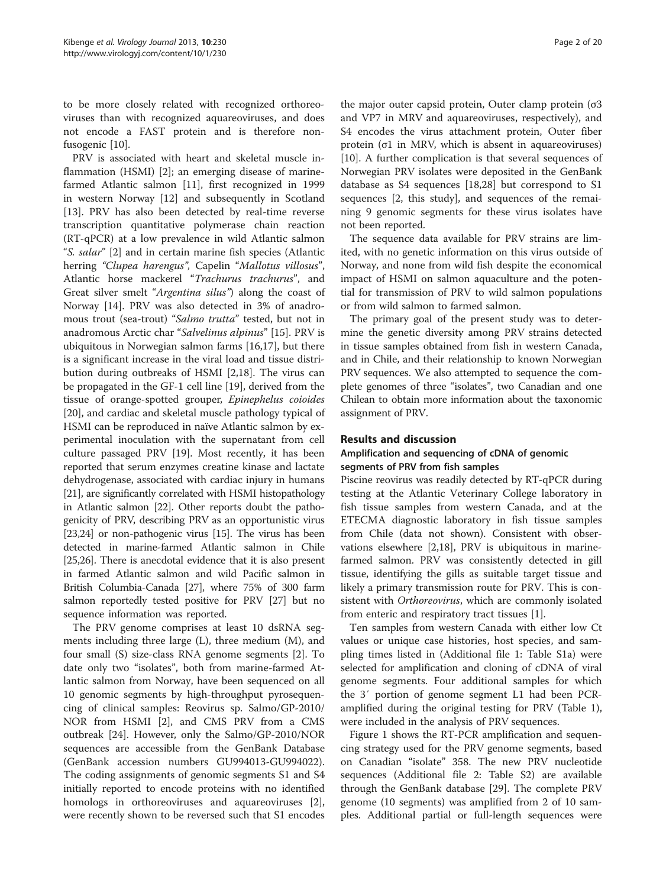to be more closely related with recognized orthoreoviruses than with recognized aquareoviruses, and does not encode a FAST protein and is therefore nonfusogenic [\[10](#page-18-0)].

PRV is associated with heart and skeletal muscle inflammation (HSMI) [\[2](#page-18-0)]; an emerging disease of marinefarmed Atlantic salmon [\[11](#page-18-0)], first recognized in 1999 in western Norway [\[12](#page-18-0)] and subsequently in Scotland [[13\]](#page-18-0). PRV has also been detected by real-time reverse transcription quantitative polymerase chain reaction (RT-qPCR) at a low prevalence in wild Atlantic salmon "S. salar" [[2\]](#page-18-0) and in certain marine fish species (Atlantic herring "Clupea harengus", Capelin "Mallotus villosus", Atlantic horse mackerel "Trachurus trachurus", and Great silver smelt "Argentina silus") along the coast of Norway [\[14](#page-18-0)]. PRV was also detected in 3% of anadromous trout (sea-trout) "Salmo trutta" tested, but not in anadromous Arctic char "Salvelinus alpinus" [\[15](#page-18-0)]. PRV is ubiquitous in Norwegian salmon farms [[16,17\]](#page-18-0), but there is a significant increase in the viral load and tissue distribution during outbreaks of HSMI [\[2,18\]](#page-18-0). The virus can be propagated in the GF-1 cell line [[19](#page-18-0)], derived from the tissue of orange-spotted grouper, Epinephelus coioides [[20\]](#page-18-0), and cardiac and skeletal muscle pathology typical of HSMI can be reproduced in naïve Atlantic salmon by experimental inoculation with the supernatant from cell culture passaged PRV [\[19\]](#page-18-0). Most recently, it has been reported that serum enzymes creatine kinase and lactate dehydrogenase, associated with cardiac injury in humans [[21](#page-18-0)], are significantly correlated with HSMI histopathology in Atlantic salmon [[22](#page-18-0)]. Other reports doubt the pathogenicity of PRV, describing PRV as an opportunistic virus [[23,24\]](#page-18-0) or non-pathogenic virus [\[15\]](#page-18-0). The virus has been detected in marine-farmed Atlantic salmon in Chile [[25,26\]](#page-18-0). There is anecdotal evidence that it is also present in farmed Atlantic salmon and wild Pacific salmon in British Columbia-Canada [\[27](#page-18-0)], where 75% of 300 farm salmon reportedly tested positive for PRV [[27](#page-18-0)] but no sequence information was reported.

The PRV genome comprises at least 10 dsRNA segments including three large (L), three medium (M), and four small (S) size-class RNA genome segments [[2\]](#page-18-0). To date only two "isolates", both from marine-farmed Atlantic salmon from Norway, have been sequenced on all 10 genomic segments by high-throughput pyrosequencing of clinical samples: Reovirus sp. Salmo/GP-2010/ NOR from HSMI [\[2](#page-18-0)], and CMS PRV from a CMS outbreak [\[24\]](#page-18-0). However, only the Salmo/GP-2010/NOR sequences are accessible from the GenBank Database (GenBank accession numbers GU994013-GU994022). The coding assignments of genomic segments S1 and S4 initially reported to encode proteins with no identified homologs in orthoreoviruses and aquareoviruses [\[2](#page-18-0)], were recently shown to be reversed such that S1 encodes

the major outer capsid protein, Outer clamp protein (σ3 and VP7 in MRV and aquareoviruses, respectively), and S4 encodes the virus attachment protein, Outer fiber protein (σ1 in MRV, which is absent in aquareoviruses) [[10\]](#page-18-0). A further complication is that several sequences of Norwegian PRV isolates were deposited in the GenBank database as S4 sequences [\[18,28\]](#page-18-0) but correspond to S1 sequences [2, this study], and sequences of the remaining 9 genomic segments for these virus isolates have not been reported.

The sequence data available for PRV strains are limited, with no genetic information on this virus outside of Norway, and none from wild fish despite the economical impact of HSMI on salmon aquaculture and the potential for transmission of PRV to wild salmon populations or from wild salmon to farmed salmon.

The primary goal of the present study was to determine the genetic diversity among PRV strains detected in tissue samples obtained from fish in western Canada, and in Chile, and their relationship to known Norwegian PRV sequences. We also attempted to sequence the complete genomes of three "isolates", two Canadian and one Chilean to obtain more information about the taxonomic assignment of PRV.

## Results and discussion

## Amplification and sequencing of cDNA of genomic segments of PRV from fish samples

Piscine reovirus was readily detected by RT-qPCR during testing at the Atlantic Veterinary College laboratory in fish tissue samples from western Canada, and at the ETECMA diagnostic laboratory in fish tissue samples from Chile (data not shown). Consistent with observations elsewhere [[2,18\]](#page-18-0), PRV is ubiquitous in marinefarmed salmon. PRV was consistently detected in gill tissue, identifying the gills as suitable target tissue and likely a primary transmission route for PRV. This is consistent with Orthoreovirus, which are commonly isolated from enteric and respiratory tract tissues [\[1\]](#page-18-0).

Ten samples from western Canada with either low Ct values or unique case histories, host species, and sampling times listed in (Additional file [1](#page-17-0): Table S1a) were selected for amplification and cloning of cDNA of viral genome segments. Four additional samples for which the 3′ portion of genome segment L1 had been PCRamplified during the original testing for PRV (Table [1](#page-2-0)), were included in the analysis of PRV sequences.

Figure [1](#page-3-0) shows the RT-PCR amplification and sequencing strategy used for the PRV genome segments, based on Canadian "isolate" 358. The new PRV nucleotide sequences (Additional file [2:](#page-17-0) Table S2) are available through the GenBank database [[29](#page-18-0)]. The complete PRV genome (10 segments) was amplified from 2 of 10 samples. Additional partial or full-length sequences were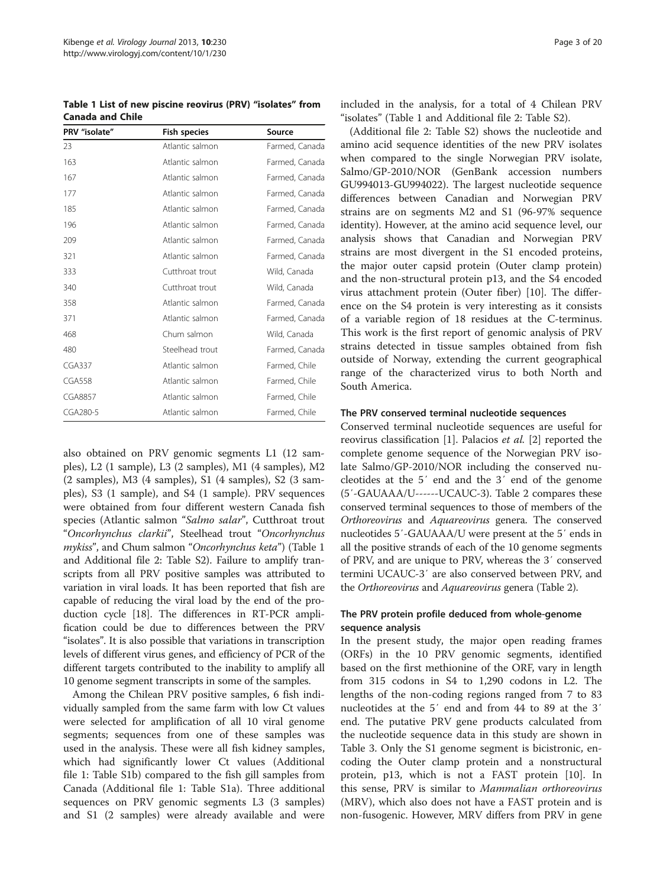<span id="page-2-0"></span>Table 1 List of new piscine reovirus (PRV) "isolates" from Canada and Chile

| PRV "isolate"  | <b>Fish species</b> | Source         |  |  |  |  |
|----------------|---------------------|----------------|--|--|--|--|
| 23             | Atlantic salmon     | Farmed, Canada |  |  |  |  |
| 163            | Atlantic salmon     | Farmed, Canada |  |  |  |  |
| 167            | Atlantic salmon     | Farmed, Canada |  |  |  |  |
| 177            | Atlantic salmon     | Farmed, Canada |  |  |  |  |
| 185            | Atlantic salmon     | Farmed, Canada |  |  |  |  |
| 196            | Atlantic salmon     | Farmed, Canada |  |  |  |  |
| 209            | Atlantic salmon     | Farmed, Canada |  |  |  |  |
| 321            | Atlantic salmon     | Farmed, Canada |  |  |  |  |
| 333            | Cutthroat trout     | Wild, Canada   |  |  |  |  |
| 340            | Cutthroat trout     | Wild, Canada   |  |  |  |  |
| 358            | Atlantic salmon     | Farmed, Canada |  |  |  |  |
| 371            | Atlantic salmon     | Farmed, Canada |  |  |  |  |
| 468            | Chum salmon         | Wild, Canada   |  |  |  |  |
| 480            | Steelhead trout     | Farmed, Canada |  |  |  |  |
| <b>CGA337</b>  | Atlantic salmon     | Farmed, Chile  |  |  |  |  |
| <b>CGA558</b>  | Atlantic salmon     | Farmed, Chile  |  |  |  |  |
| <b>CGA8857</b> | Atlantic salmon     | Farmed, Chile  |  |  |  |  |
| CGA280-5       | Atlantic salmon     | Farmed, Chile  |  |  |  |  |

also obtained on PRV genomic segments L1 (12 samples), L2 (1 sample), L3 (2 samples), M1 (4 samples), M2 (2 samples), M3 (4 samples), S1 (4 samples), S2 (3 samples), S3 (1 sample), and S4 (1 sample). PRV sequences were obtained from four different western Canada fish species (Atlantic salmon "Salmo salar", Cutthroat trout "Oncorhynchus clarkii", Steelhead trout "Oncorhynchus mykiss", and Chum salmon "Oncorhynchus keta") (Table 1 and Additional file [2:](#page-17-0) Table S2). Failure to amplify transcripts from all PRV positive samples was attributed to variation in viral loads. It has been reported that fish are capable of reducing the viral load by the end of the production cycle [\[18](#page-18-0)]. The differences in RT-PCR amplification could be due to differences between the PRV "isolates". It is also possible that variations in transcription levels of different virus genes, and efficiency of PCR of the different targets contributed to the inability to amplify all 10 genome segment transcripts in some of the samples.

Among the Chilean PRV positive samples, 6 fish individually sampled from the same farm with low Ct values were selected for amplification of all 10 viral genome segments; sequences from one of these samples was used in the analysis. These were all fish kidney samples, which had significantly lower Ct values (Additional file [1](#page-17-0): Table S1b) compared to the fish gill samples from Canada (Additional file [1](#page-17-0): Table S1a). Three additional sequences on PRV genomic segments L3 (3 samples) and S1 (2 samples) were already available and were included in the analysis, for a total of 4 Chilean PRV "isolates" (Table 1 and Additional file [2](#page-17-0): Table S2).

(Additional file [2:](#page-17-0) Table S2) shows the nucleotide and amino acid sequence identities of the new PRV isolates when compared to the single Norwegian PRV isolate, Salmo/GP-2010/NOR (GenBank accession numbers GU994013-GU994022). The largest nucleotide sequence differences between Canadian and Norwegian PRV strains are on segments M2 and S1 (96-97% sequence identity). However, at the amino acid sequence level, our analysis shows that Canadian and Norwegian PRV strains are most divergent in the S1 encoded proteins, the major outer capsid protein (Outer clamp protein) and the non-structural protein p13, and the S4 encoded virus attachment protein (Outer fiber) [[10\]](#page-18-0). The difference on the S4 protein is very interesting as it consists of a variable region of 18 residues at the C-terminus. This work is the first report of genomic analysis of PRV strains detected in tissue samples obtained from fish outside of Norway, extending the current geographical range of the characterized virus to both North and South America.

## The PRV conserved terminal nucleotide sequences

Conserved terminal nucleotide sequences are useful for reovirus classification [[1](#page-18-0)]. Palacios et al. [\[2](#page-18-0)] reported the complete genome sequence of the Norwegian PRV isolate Salmo/GP-2010/NOR including the conserved nucleotides at the 5′ end and the 3′ end of the genome (5′-GAUAAA/U------UCAUC-3). Table [2](#page-4-0) compares these conserved terminal sequences to those of members of the Orthoreovirus and Aquareovirus genera. The conserved nucleotides 5′-GAUAAA/U were present at the 5′ ends in all the positive strands of each of the 10 genome segments of PRV, and are unique to PRV, whereas the 3′ conserved termini UCAUC-3′ are also conserved between PRV, and the Orthoreovirus and Aquareovirus genera (Table [2](#page-4-0)).

## The PRV protein profile deduced from whole-genome sequence analysis

In the present study, the major open reading frames (ORFs) in the 10 PRV genomic segments, identified based on the first methionine of the ORF, vary in length from 315 codons in S4 to 1,290 codons in L2. The lengths of the non-coding regions ranged from 7 to 83 nucleotides at the 5′ end and from 44 to 89 at the 3′ end. The putative PRV gene products calculated from the nucleotide sequence data in this study are shown in Table [3](#page-4-0). Only the S1 genome segment is bicistronic, encoding the Outer clamp protein and a nonstructural protein, p13, which is not a FAST protein [\[10](#page-18-0)]. In this sense, PRV is similar to Mammalian orthoreovirus (MRV), which also does not have a FAST protein and is non-fusogenic. However, MRV differs from PRV in gene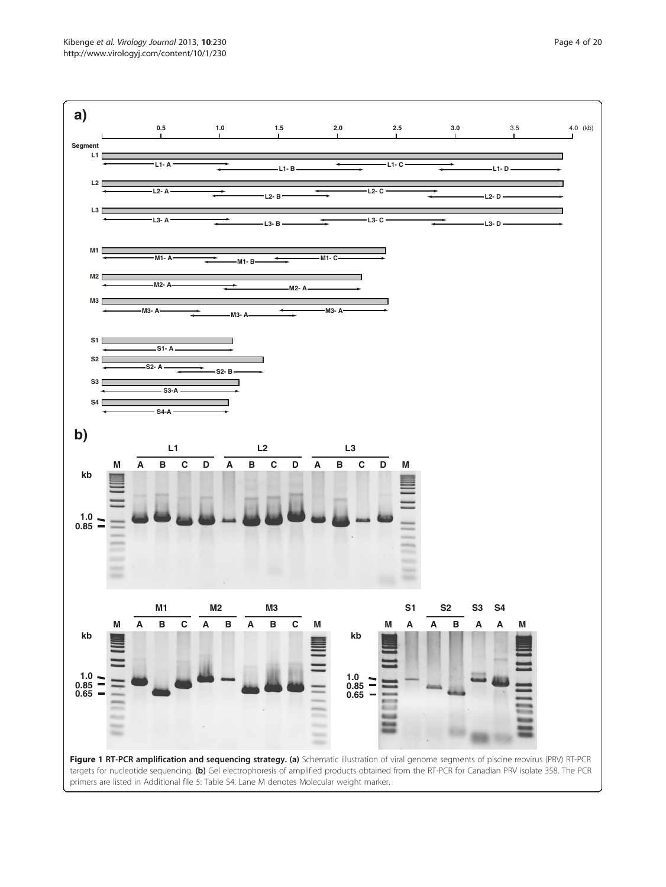<span id="page-3-0"></span>Kibenge et al. Virology Journal 2013, 10:230 **Page 4 of 20** Page 4 of 20 http://www.virologyj.com/content/10/1/230

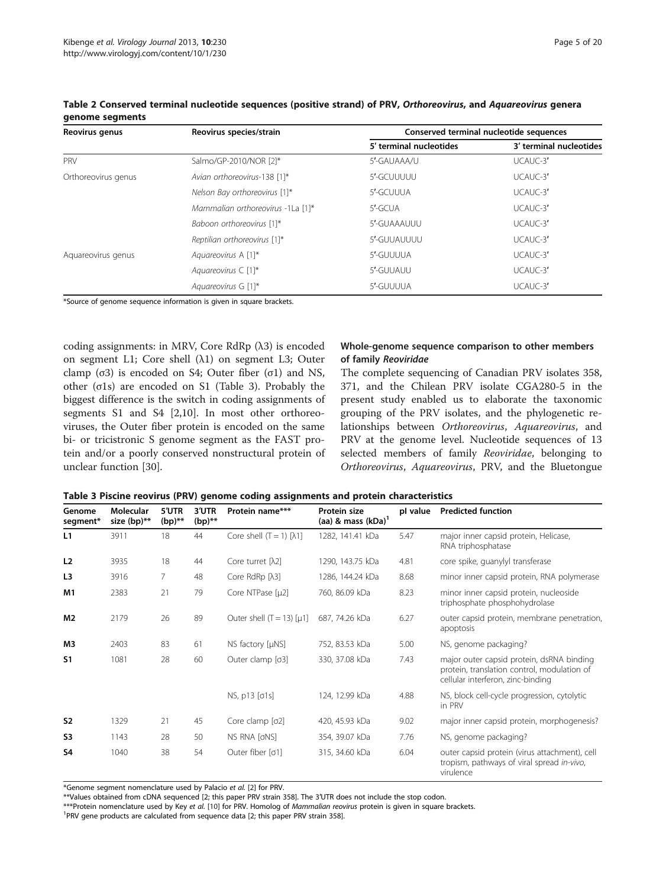| Reovirus genus      | Reovirus species/strain           | Conserved terminal nucleotide sequences |                         |  |  |  |  |
|---------------------|-----------------------------------|-----------------------------------------|-------------------------|--|--|--|--|
|                     |                                   | 5' terminal nucleotides                 | 3' terminal nucleotides |  |  |  |  |
| PRV                 | Salmo/GP-2010/NOR [2]*            | 5'-GAUAAA/U                             | UCAUC-3'                |  |  |  |  |
| Orthoreovirus genus | Avian orthoreovirus-138 [1]*      | 5'-GCUUUUU                              | UCAUC-3'                |  |  |  |  |
|                     | Nelson Bay orthoreovirus [1]*     | 5'-GCUUUA                               | UCAUC-3'                |  |  |  |  |
|                     | Mammalian orthoreovirus -1La [1]* | 5'-GCUA                                 | UCAUC-3'                |  |  |  |  |
|                     | Baboon orthoreovirus [1]*         | 5'-GUAAAUUU                             | UCAUC-3'                |  |  |  |  |
|                     | Reptilian orthoreovirus [1]*      | 5'-GUUAUUUU                             | $UCAUC-3'$              |  |  |  |  |
| Aquareovirus genus  | Aquareovirus A [1]*               | 5'-GUUUUA                               | $UCAUC-3'$              |  |  |  |  |
|                     | Aguareovirus $\subset$ [1]*       | 5'-GUUAUU                               | UCAUC-3'                |  |  |  |  |
|                     | Aguareovirus G [1]*               | 5'-GUUUUA                               | UCAUC-3'                |  |  |  |  |

<span id="page-4-0"></span>Table 2 Conserved terminal nucleotide sequences (positive strand) of PRV, Orthoreovirus, and Aquareovirus genera genome segments

\*Source of genome sequence information is given in square brackets.

coding assignments: in MRV, Core RdRp (λ3) is encoded on segment L1; Core shell (λ1) on segment L3; Outer clamp (σ3) is encoded on S4; Outer fiber (σ1) and NS, other (σ1s) are encoded on S1 (Table 3). Probably the biggest difference is the switch in coding assignments of segments S1 and S4 [[2,10\]](#page-18-0). In most other orthoreoviruses, the Outer fiber protein is encoded on the same bi- or tricistronic S genome segment as the FAST protein and/or a poorly conserved nonstructural protein of unclear function [\[30\]](#page-18-0).

## Whole-genome sequence comparison to other members of family Reoviridae

The complete sequencing of Canadian PRV isolates 358, 371, and the Chilean PRV isolate CGA280-5 in the present study enabled us to elaborate the taxonomic grouping of the PRV isolates, and the phylogenetic relationships between Orthoreovirus, Aquareovirus, and PRV at the genome level. Nucleotide sequences of 13 selected members of family Reoviridae, belonging to Orthoreovirus, Aquareovirus, PRV, and the Bluetongue

| Table 3 Piscine reovirus (PRV) genome coding assignments and protein characteristics |  |  |  |
|--------------------------------------------------------------------------------------|--|--|--|
|--------------------------------------------------------------------------------------|--|--|--|

| Genome<br>segment* | Molecular<br>size $(bp)$ ** | 5'UTR<br>$(bp)$ ** | 3'UTR<br>$(bp)$ ** | Protein name***                     | Protein size<br>(aa) & mass $(kDa)^T$ | pl value | <b>Predicted function</b>                                                                                                     |
|--------------------|-----------------------------|--------------------|--------------------|-------------------------------------|---------------------------------------|----------|-------------------------------------------------------------------------------------------------------------------------------|
| L1                 | 3911                        | 18                 | 44                 | Core shell $(T = 1)$ [ $\lambda$ 1] | 1282, 141.41 kDa                      | 5.47     | major inner capsid protein, Helicase,<br>RNA triphosphatase                                                                   |
| L2                 | 3935                        | 18                 | 44                 | Core turret [ $\lambda$ 2]          | 1290, 143.75 kDa                      | 4.81     | core spike, quanylyl transferase                                                                                              |
| L <sub>3</sub>     | 3916                        | 7                  | 48                 | Core RdRp $[\lambda 3]$             | 1286, 144.24 kDa                      | 8.68     | minor inner capsid protein, RNA polymerase                                                                                    |
| M <sub>1</sub>     | 2383                        | 21                 | 79                 | Core NTPase [µ2]                    | 760, 86.09 kDa                        | 8.23     | minor inner capsid protein, nucleoside<br>triphosphate phosphohydrolase                                                       |
| M2                 | 2179                        | 26                 | 89                 | Outer shell $(T = 13)$ [ $\mu$ 1]   | 687, 74.26 kDa                        | 6.27     | outer capsid protein, membrane penetration,<br>apoptosis                                                                      |
| MЗ                 | 2403                        | 83                 | 61                 | NS factory [µNS]                    | 752, 83.53 kDa                        | 5.00     | NS, genome packaging?                                                                                                         |
| S <sub>1</sub>     | 1081                        | 28                 | 60                 | Outer clamp [o3]                    | 330, 37.08 kDa                        | 7.43     | major outer capsid protein, dsRNA binding<br>protein, translation control, modulation of<br>cellular interferon, zinc-binding |
|                    |                             |                    |                    | NS, p13 [01s]                       | 124, 12.99 kDa                        | 4.88     | NS, block cell-cycle progression, cytolytic<br>in PRV                                                                         |
| S <sub>2</sub>     | 1329                        | 21                 | 45                 | Core clamp [o2]                     | 420, 45.93 kDa                        | 9.02     | major inner capsid protein, morphogenesis?                                                                                    |
| S <sub>3</sub>     | 1143                        | 28                 | 50                 | NS RNA [oNS]                        | 354, 39.07 kDa                        | 7.76     | NS, genome packaging?                                                                                                         |
| S <sub>4</sub>     | 1040                        | 38                 | 54                 | Outer fiber [o1]                    | 315, 34.60 kDa                        | 6.04     | outer capsid protein (virus attachment), cell<br>tropism, pathways of viral spread in-vivo,<br>virulence                      |

\*Genome segment nomenclature used by Palacio et al. [[2](#page-18-0)] for PRV.

\*\*Values obtained from cDNA sequenced [2; this paper PRV strain 358]. The 3′UTR does not include the stop codon.

\*\*\*Protein nomenclature used by Key et al. [[10\]](#page-18-0) for PRV. Homolog of Mammalian reovirus protein is given in square brackets.

<sup>1</sup>PRV gene products are calculated from sequence data [2; this paper PRV strain 358].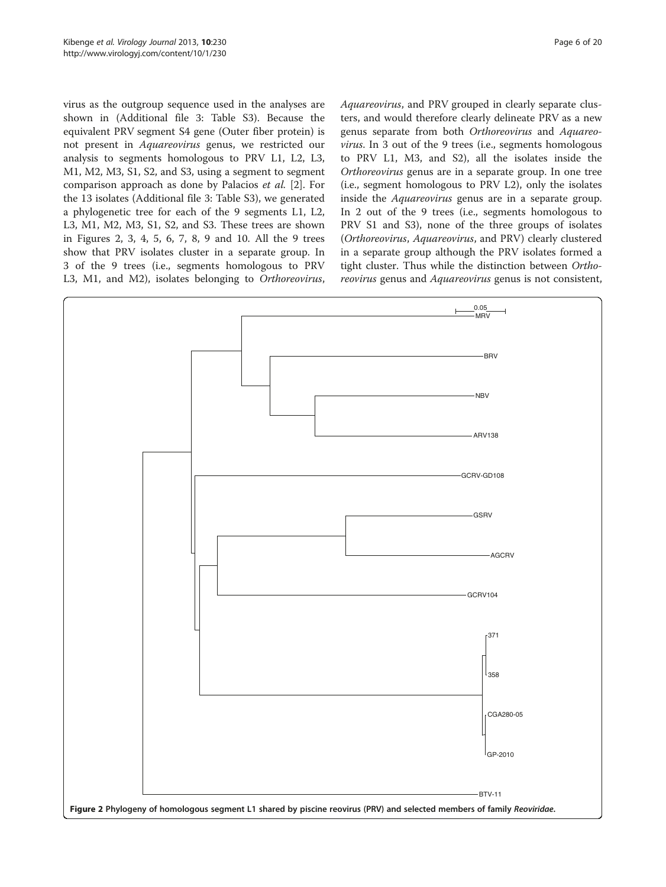<span id="page-5-0"></span>virus as the outgroup sequence used in the analyses are shown in (Additional file [3](#page-17-0): Table S3). Because the equivalent PRV segment S4 gene (Outer fiber protein) is not present in Aquareovirus genus, we restricted our analysis to segments homologous to PRV L1, L2, L3, M1, M2, M3, S1, S2, and S3, using a segment to segment comparison approach as done by Palacios et al. [[2\]](#page-18-0). For the 13 isolates (Additional file [3:](#page-17-0) Table S3), we generated a phylogenetic tree for each of the 9 segments L1, L2, L3, M1, M2, M3, S1, S2, and S3. These trees are shown in Figures 2, [3](#page-6-0), [4,](#page-7-0) [5](#page-8-0), [6,](#page-9-0) [7](#page-10-0), [8,](#page-11-0) [9](#page-12-0) and [10.](#page-13-0) All the 9 trees show that PRV isolates cluster in a separate group. In 3 of the 9 trees (i.e., segments homologous to PRV L3, M1, and M2), isolates belonging to Orthoreovirus, Aquareovirus, and PRV grouped in clearly separate clusters, and would therefore clearly delineate PRV as a new genus separate from both Orthoreovirus and Aquareovirus. In 3 out of the 9 trees (i.e., segments homologous to PRV L1, M3, and S2), all the isolates inside the Orthoreovirus genus are in a separate group. In one tree (i.e., segment homologous to PRV L2), only the isolates inside the Aquareovirus genus are in a separate group. In 2 out of the 9 trees (i.e., segments homologous to PRV S1 and S3), none of the three groups of isolates (Orthoreovirus, Aquareovirus, and PRV) clearly clustered in a separate group although the PRV isolates formed a tight cluster. Thus while the distinction between Orthoreovirus genus and Aquareovirus genus is not consistent,

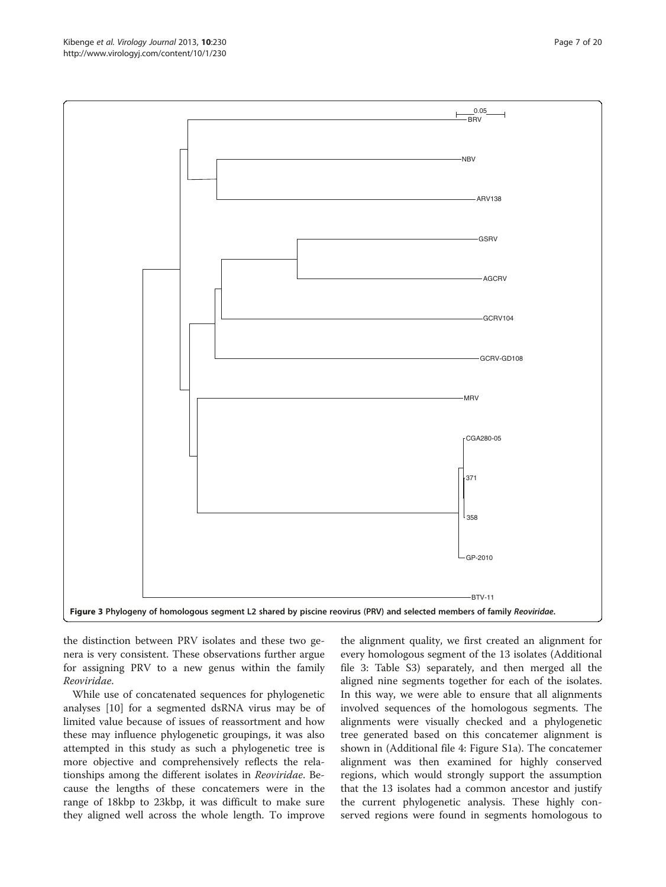the distinction between PRV isolates and these two genera is very consistent. These observations further argue for assigning PRV to a new genus within the family Reoviridae.

While use of concatenated sequences for phylogenetic analyses [[10](#page-18-0)] for a segmented dsRNA virus may be of limited value because of issues of reassortment and how these may influence phylogenetic groupings, it was also attempted in this study as such a phylogenetic tree is more objective and comprehensively reflects the relationships among the different isolates in Reoviridae. Because the lengths of these concatemers were in the range of 18kbp to 23kbp, it was difficult to make sure they aligned well across the whole length. To improve

the alignment quality, we first created an alignment for every homologous segment of the 13 isolates (Additional file [3:](#page-17-0) Table S3) separately, and then merged all the aligned nine segments together for each of the isolates. In this way, we were able to ensure that all alignments involved sequences of the homologous segments. The alignments were visually checked and a phylogenetic tree generated based on this concatemer alignment is shown in (Additional file [4](#page-17-0): Figure S1a). The concatemer alignment was then examined for highly conserved regions, which would strongly support the assumption that the 13 isolates had a common ancestor and justify the current phylogenetic analysis. These highly conserved regions were found in segments homologous to

<span id="page-6-0"></span>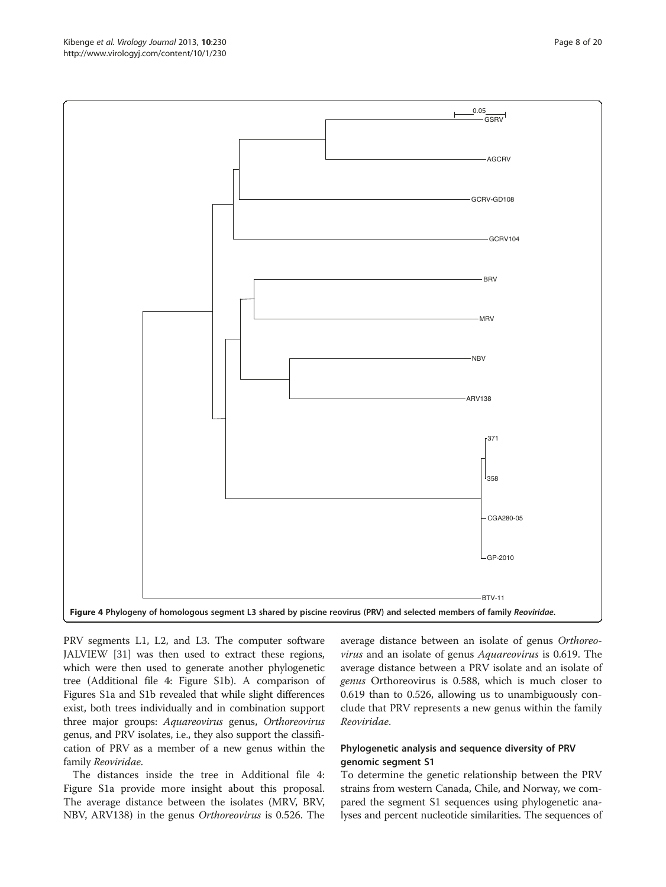PRV segments L1, L2, and L3. The computer software JALVIEW [\[31](#page-19-0)] was then used to extract these regions, which were then used to generate another phylogenetic tree (Additional file [4](#page-17-0): Figure S1b). A comparison of Figures S1a and S1b revealed that while slight differences exist, both trees individually and in combination support three major groups: Aquareovirus genus, Orthoreovirus genus, and PRV isolates, i.e., they also support the classification of PRV as a member of a new genus within the family Reoviridae.

The distances inside the tree in Additional file [4](#page-17-0): Figure S1a provide more insight about this proposal. The average distance between the isolates (MRV, BRV, NBV, ARV138) in the genus Orthoreovirus is 0.526. The average distance between an isolate of genus Orthoreovirus and an isolate of genus Aquareovirus is 0.619. The average distance between a PRV isolate and an isolate of genus Orthoreovirus is 0.588, which is much closer to 0.619 than to 0.526, allowing us to unambiguously conclude that PRV represents a new genus within the family Reoviridae.

# Phylogenetic analysis and sequence diversity of PRV genomic segment S1

To determine the genetic relationship between the PRV strains from western Canada, Chile, and Norway, we compared the segment S1 sequences using phylogenetic analyses and percent nucleotide similarities. The sequences of

<span id="page-7-0"></span>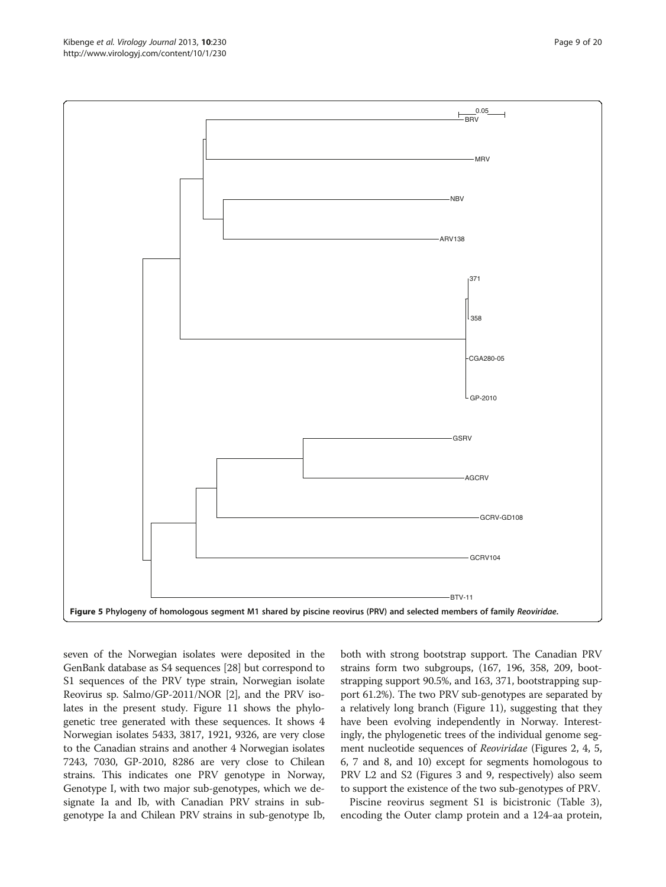seven of the Norwegian isolates were deposited in the GenBank database as S4 sequences [\[28\]](#page-18-0) but correspond to S1 sequences of the PRV type strain, Norwegian isolate Reovirus sp. Salmo/GP-2011/NOR [\[2\]](#page-18-0), and the PRV isolates in the present study. Figure [11](#page-14-0) shows the phylogenetic tree generated with these sequences. It shows 4 Norwegian isolates 5433, 3817, 1921, 9326, are very close to the Canadian strains and another 4 Norwegian isolates 7243, 7030, GP-2010, 8286 are very close to Chilean strains. This indicates one PRV genotype in Norway, Genotype I, with two major sub-genotypes, which we designate Ia and Ib, with Canadian PRV strains in subgenotype Ia and Chilean PRV strains in sub-genotype Ib,

both with strong bootstrap support. The Canadian PRV strains form two subgroups, (167, 196, 358, 209, bootstrapping support 90.5%, and 163, 371, bootstrapping support 61.2%). The two PRV sub-genotypes are separated by a relatively long branch (Figure [11](#page-14-0)), suggesting that they have been evolving independently in Norway. Interestingly, the phylogenetic trees of the individual genome segment nucleotide sequences of Reoviridae (Figures [2,](#page-5-0) [4](#page-7-0), 5, [6,](#page-9-0) [7](#page-10-0) and [8](#page-11-0), and [10](#page-13-0)) except for segments homologous to PRV L2 and S2 (Figures [3](#page-6-0) and [9,](#page-12-0) respectively) also seem to support the existence of the two sub-genotypes of PRV.

Piscine reovirus segment S1 is bicistronic (Table [3](#page-4-0)), encoding the Outer clamp protein and a 124-aa protein,

<span id="page-8-0"></span>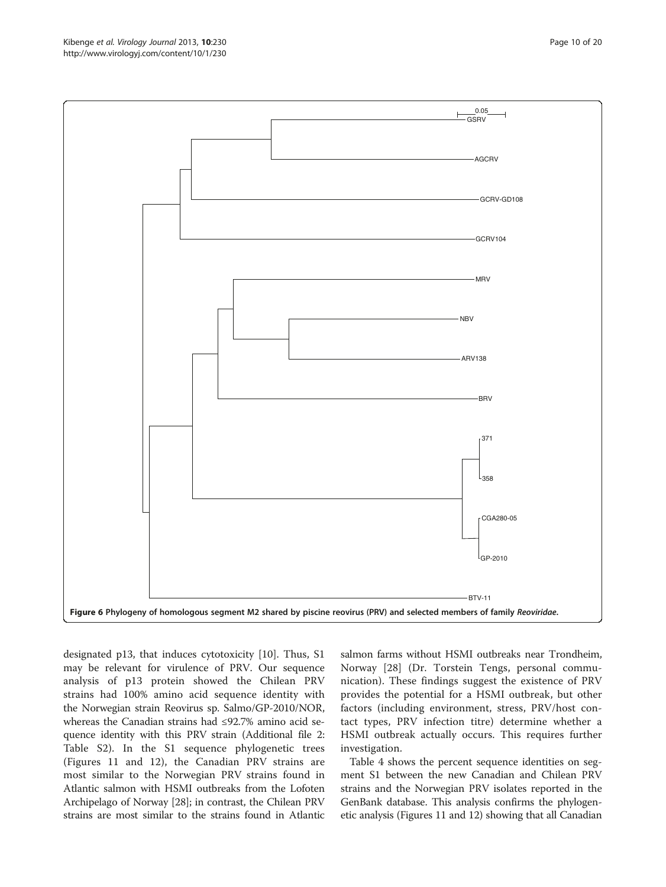<span id="page-9-0"></span>

designated p13, that induces cytotoxicity [\[10](#page-18-0)]. Thus, S1 may be relevant for virulence of PRV. Our sequence analysis of p13 protein showed the Chilean PRV strains had 100% amino acid sequence identity with the Norwegian strain Reovirus sp. Salmo/GP-2010/NOR, whereas the Canadian strains had ≤92.7% amino acid sequence identity with this PRV strain (Additional file [2](#page-17-0): Table S2). In the S1 sequence phylogenetic trees (Figures [11](#page-14-0) and [12](#page-15-0)), the Canadian PRV strains are most similar to the Norwegian PRV strains found in Atlantic salmon with HSMI outbreaks from the Lofoten Archipelago of Norway [[28](#page-18-0)]; in contrast, the Chilean PRV strains are most similar to the strains found in Atlantic

salmon farms without HSMI outbreaks near Trondheim, Norway [\[28](#page-18-0)] (Dr. Torstein Tengs, personal communication). These findings suggest the existence of PRV provides the potential for a HSMI outbreak, but other factors (including environment, stress, PRV/host contact types, PRV infection titre) determine whether a HSMI outbreak actually occurs. This requires further investigation.

Table [4](#page-16-0) shows the percent sequence identities on segment S1 between the new Canadian and Chilean PRV strains and the Norwegian PRV isolates reported in the GenBank database. This analysis confirms the phylogenetic analysis (Figures [11](#page-14-0) and [12\)](#page-15-0) showing that all Canadian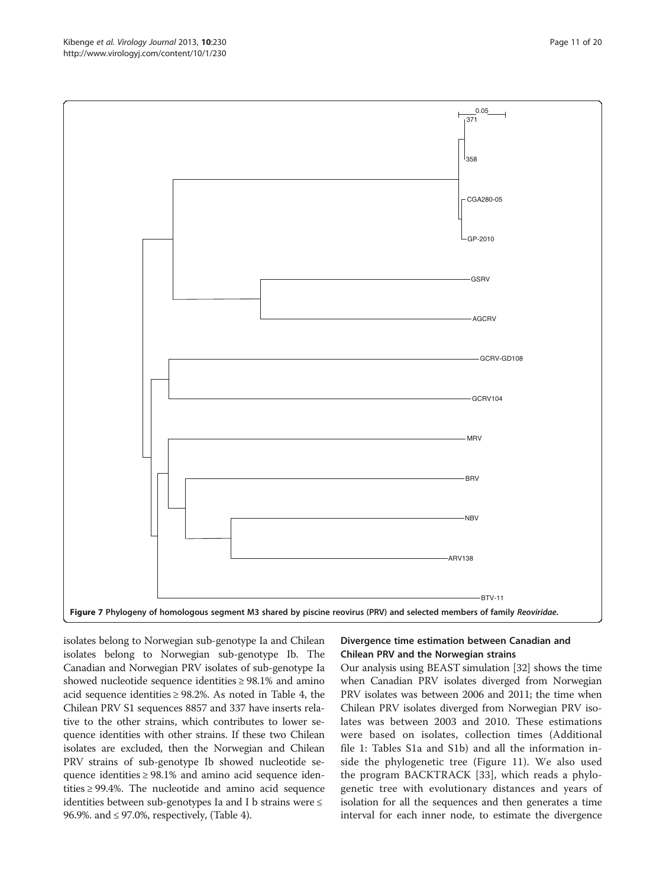<span id="page-10-0"></span>

isolates belong to Norwegian sub-genotype Ia and Chilean isolates belong to Norwegian sub-genotype Ib. The Canadian and Norwegian PRV isolates of sub-genotype Ia showed nucleotide sequence identities  $\geq$  98.1% and amino acid sequence identities  $\geq$  98.2%. As noted in Table [4](#page-16-0), the Chilean PRV S1 sequences 8857 and 337 have inserts relative to the other strains, which contributes to lower sequence identities with other strains. If these two Chilean isolates are excluded, then the Norwegian and Chilean PRV strains of sub-genotype Ib showed nucleotide sequence identities ≥ 98.1% and amino acid sequence identities  $\geq$  99.4%. The nucleotide and amino acid sequence identities between sub-genotypes Ia and I b strains were  $\leq$ 96.9%. and ≤ 97.0%, respectively, (Table [4](#page-16-0)).

# Divergence time estimation between Canadian and Chilean PRV and the Norwegian strains

Our analysis using BEAST simulation [\[32\]](#page-19-0) shows the time when Canadian PRV isolates diverged from Norwegian PRV isolates was between 2006 and 2011; the time when Chilean PRV isolates diverged from Norwegian PRV isolates was between 2003 and 2010. These estimations were based on isolates, collection times (Additional file [1](#page-17-0): Tables S1a and S1b) and all the information inside the phylogenetic tree (Figure [11](#page-14-0)). We also used the program BACKTRACK [[33\]](#page-19-0), which reads a phylogenetic tree with evolutionary distances and years of isolation for all the sequences and then generates a time interval for each inner node, to estimate the divergence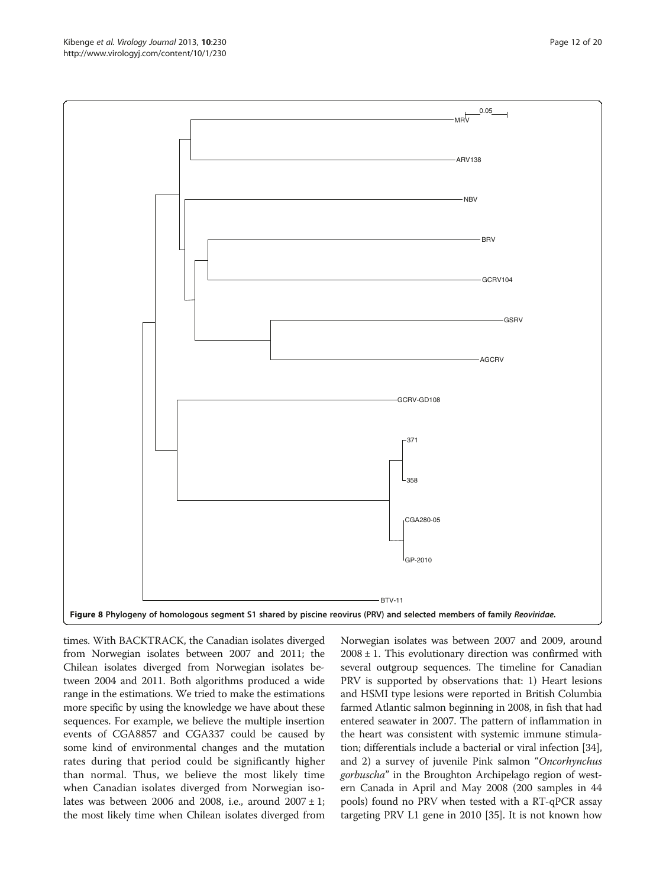times. With BACKTRACK, the Canadian isolates diverged from Norwegian isolates between 2007 and 2011; the Chilean isolates diverged from Norwegian isolates between 2004 and 2011. Both algorithms produced a wide range in the estimations. We tried to make the estimations more specific by using the knowledge we have about these sequences. For example, we believe the multiple insertion events of CGA8857 and CGA337 could be caused by some kind of environmental changes and the mutation rates during that period could be significantly higher than normal. Thus, we believe the most likely time when Canadian isolates diverged from Norwegian isolates was between 2006 and 2008, i.e., around  $2007 \pm 1$ ; the most likely time when Chilean isolates diverged from

Norwegian isolates was between 2007 and 2009, around  $2008 \pm 1$ . This evolutionary direction was confirmed with several outgroup sequences. The timeline for Canadian PRV is supported by observations that: 1) Heart lesions and HSMI type lesions were reported in British Columbia farmed Atlantic salmon beginning in 2008, in fish that had entered seawater in 2007. The pattern of inflammation in the heart was consistent with systemic immune stimulation; differentials include a bacterial or viral infection [[34](#page-19-0)], and 2) a survey of juvenile Pink salmon "Oncorhynchus gorbuscha" in the Broughton Archipelago region of western Canada in April and May 2008 (200 samples in 44 pools) found no PRV when tested with a RT-qPCR assay targeting PRV L1 gene in 2010 [\[35\]](#page-19-0). It is not known how

<span id="page-11-0"></span>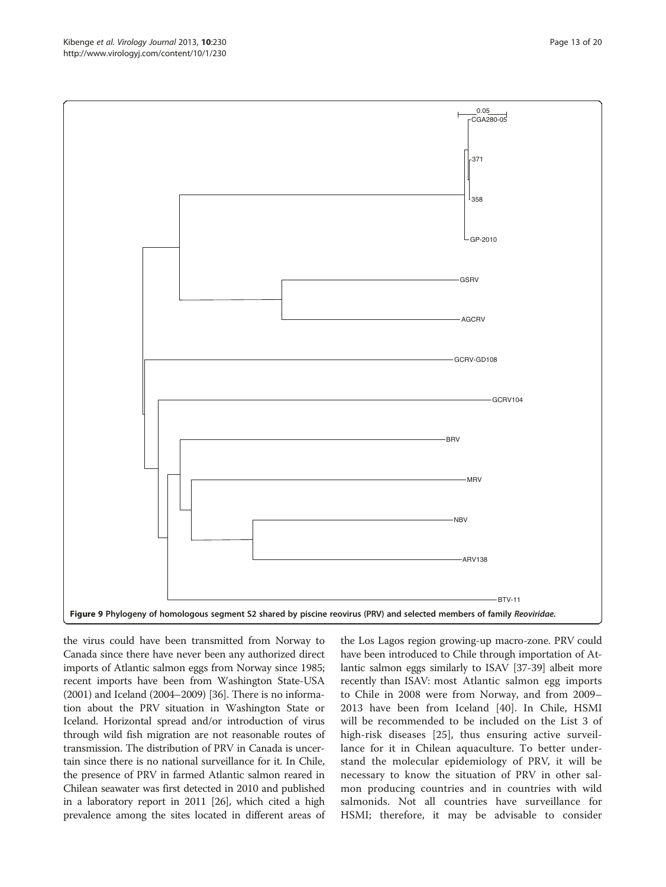<span id="page-12-0"></span>

the virus could have been transmitted from Norway to Canada since there have never been any authorized direct imports of Atlantic salmon eggs from Norway since 1985; recent imports have been from Washington State-USA (2001) and Iceland (2004–2009) [\[36\]](#page-19-0). There is no information about the PRV situation in Washington State or Iceland. Horizontal spread and/or introduction of virus through wild fish migration are not reasonable routes of transmission. The distribution of PRV in Canada is uncertain since there is no national surveillance for it. In Chile, the presence of PRV in farmed Atlantic salmon reared in Chilean seawater was first detected in 2010 and published in a laboratory report in 2011 [\[26\]](#page-18-0), which cited a high prevalence among the sites located in different areas of

the Los Lagos region growing-up macro-zone. PRV could have been introduced to Chile through importation of Atlantic salmon eggs similarly to ISAV [\[37-39\]](#page-19-0) albeit more recently than ISAV: most Atlantic salmon egg imports to Chile in 2008 were from Norway, and from 2009– 2013 have been from Iceland [[40\]](#page-19-0). In Chile, HSMI will be recommended to be included on the List 3 of high-risk diseases [\[25](#page-18-0)], thus ensuring active surveillance for it in Chilean aquaculture. To better understand the molecular epidemiology of PRV, it will be necessary to know the situation of PRV in other salmon producing countries and in countries with wild salmonids. Not all countries have surveillance for HSMI; therefore, it may be advisable to consider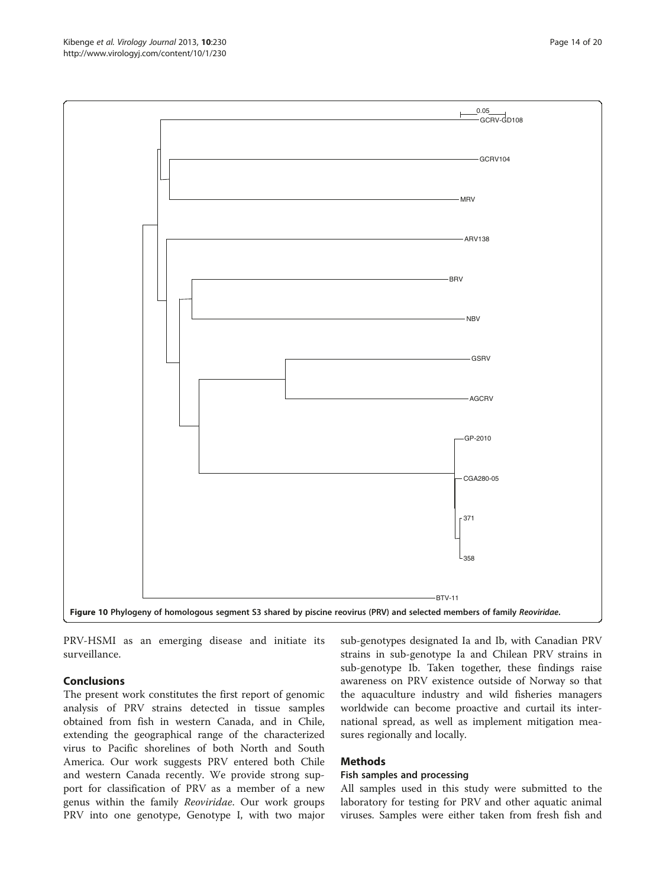PRV-HSMI as an emerging disease and initiate its surveillance.

## Conclusions

The present work constitutes the first report of genomic analysis of PRV strains detected in tissue samples obtained from fish in western Canada, and in Chile, extending the geographical range of the characterized virus to Pacific shorelines of both North and South America. Our work suggests PRV entered both Chile and western Canada recently. We provide strong support for classification of PRV as a member of a new genus within the family Reoviridae. Our work groups PRV into one genotype, Genotype I, with two major

sub-genotypes designated Ia and Ib, with Canadian PRV strains in sub-genotype Ia and Chilean PRV strains in sub-genotype Ib. Taken together, these findings raise awareness on PRV existence outside of Norway so that the aquaculture industry and wild fisheries managers worldwide can become proactive and curtail its international spread, as well as implement mitigation measures regionally and locally.

## Methods

## Fish samples and processing

All samples used in this study were submitted to the laboratory for testing for PRV and other aquatic animal viruses. Samples were either taken from fresh fish and

<span id="page-13-0"></span>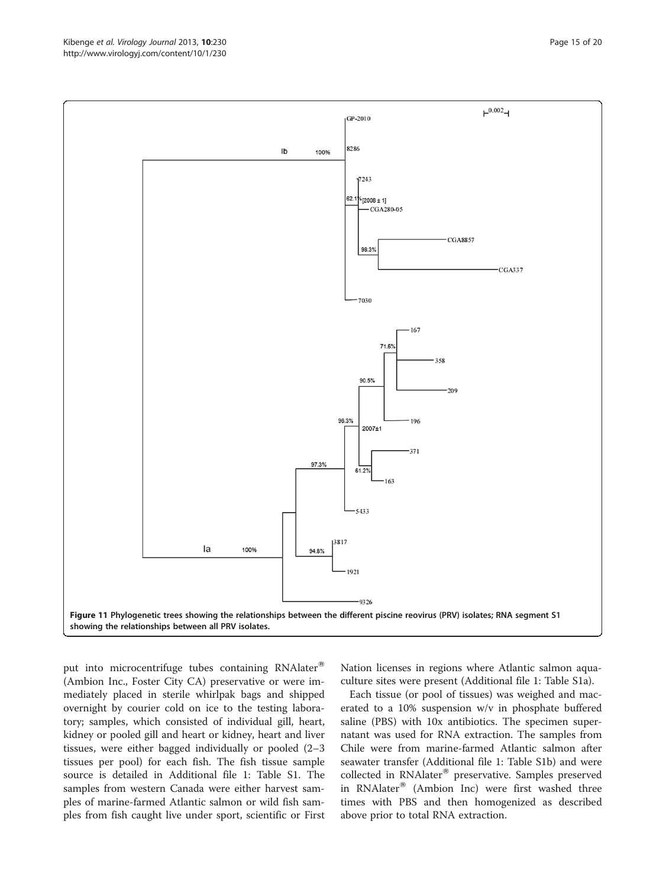<span id="page-14-0"></span>

put into microcentrifuge tubes containing RNAlater® (Ambion Inc., Foster City CA) preservative or were immediately placed in sterile whirlpak bags and shipped overnight by courier cold on ice to the testing laboratory; samples, which consisted of individual gill, heart, kidney or pooled gill and heart or kidney, heart and liver tissues, were either bagged individually or pooled (2–3 tissues per pool) for each fish. The fish tissue sample source is detailed in Additional file [1](#page-17-0): Table S1. The samples from western Canada were either harvest samples of marine-farmed Atlantic salmon or wild fish samples from fish caught live under sport, scientific or First Nation licenses in regions where Atlantic salmon aquaculture sites were present (Additional file [1:](#page-17-0) Table S1a).

Each tissue (or pool of tissues) was weighed and macerated to a 10% suspension w/v in phosphate buffered saline (PBS) with 10x antibiotics. The specimen supernatant was used for RNA extraction. The samples from Chile were from marine-farmed Atlantic salmon after seawater transfer (Additional file [1](#page-17-0): Table S1b) and were collected in RNAlater® preservative. Samples preserved in RNAlater $^{\circledR}$  (Ambion Inc) were first washed three times with PBS and then homogenized as described above prior to total RNA extraction.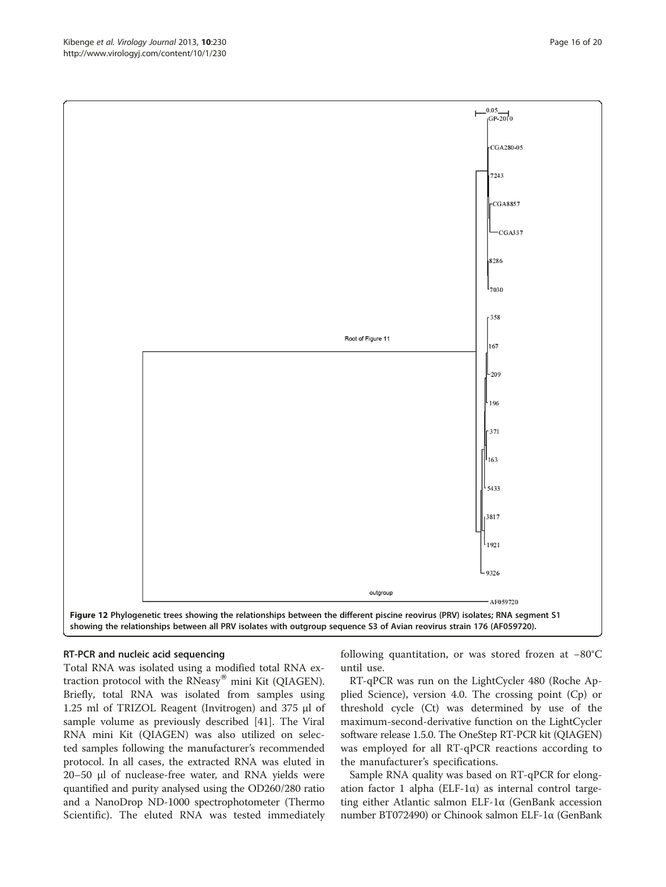<span id="page-15-0"></span>

## RT-PCR and nucleic acid sequencing

Total RNA was isolated using a modified total RNA extraction protocol with the RNeasy $^{\circ\circ}$  mini Kit (QIAGEN). Briefly, total RNA was isolated from samples using 1.25 ml of TRIZOL Reagent (Invitrogen) and 375 μl of sample volume as previously described [[41](#page-19-0)]. The Viral RNA mini Kit (QIAGEN) was also utilized on selected samples following the manufacturer's recommended protocol. In all cases, the extracted RNA was eluted in 20–50 μl of nuclease-free water, and RNA yields were quantified and purity analysed using the OD260/280 ratio and a NanoDrop ND-1000 spectrophotometer (Thermo Scientific). The eluted RNA was tested immediately

following quantitation, or was stored frozen at −80°C until use.

RT-qPCR was run on the LightCycler 480 (Roche Applied Science), version 4.0. The crossing point (Cp) or threshold cycle (Ct) was determined by use of the maximum-second-derivative function on the LightCycler software release 1.5.0. The OneStep RT-PCR kit (QIAGEN) was employed for all RT-qPCR reactions according to the manufacturer's specifications.

Sample RNA quality was based on RT-qPCR for elongation factor 1 alpha (ELF-1α) as internal control targeting either Atlantic salmon ELF-1α (GenBank accession number BT072490) or Chinook salmon ELF-1α (GenBank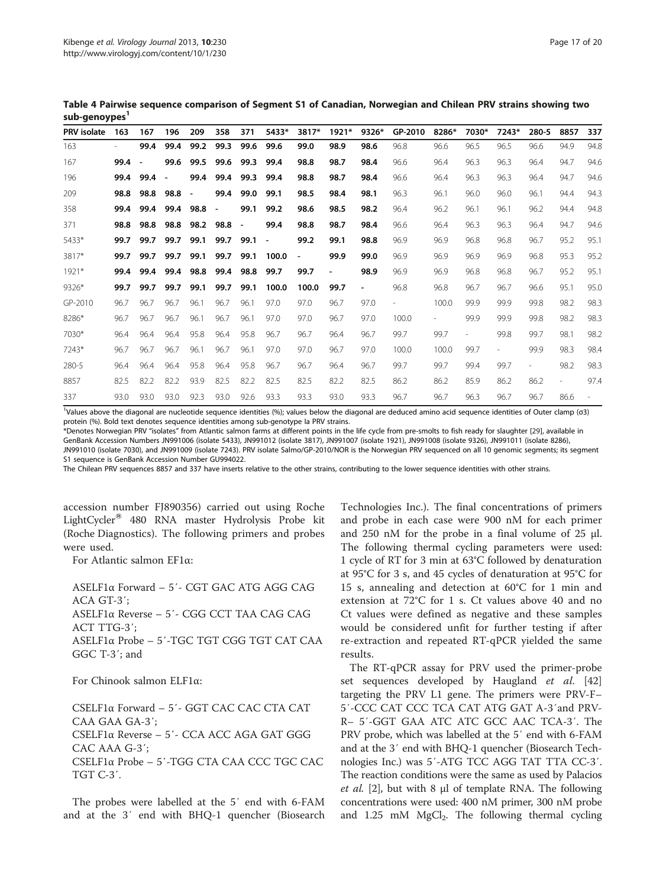<span id="page-16-0"></span>Table 4 Pairwise sequence comparison of Segment S1 of Canadian, Norwegian and Chilean PRV strains showing two sub-genoypes<sup>1</sup>

| <b>PRV</b> isolate | 163  | 167  | 196  | 209                      | 358                      | 371                      | 5433*                    | 3817*          | $1921*$                      | 9326*                    | GP-2010 | 8286* | 7030* | $7243*$                  | 280-5                    | 8857                     | 337  |
|--------------------|------|------|------|--------------------------|--------------------------|--------------------------|--------------------------|----------------|------------------------------|--------------------------|---------|-------|-------|--------------------------|--------------------------|--------------------------|------|
| 163                |      | 99.4 | 99.4 | 99.2                     | 99.3                     | 99.6                     | 99.6                     | 99.0           | 98.9                         | 98.6                     | 96.8    | 96.6  | 96.5  | 96.5                     | 96.6                     | 94.9                     | 94.8 |
| 167                | 99.4 |      | 99.6 | 99.5                     | 99.6                     | 99.3                     | 99.4                     | 98.8           | 98.7                         | 98.4                     | 96.6    | 96.4  | 96.3  | 96.3                     | 96.4                     | 94.7                     | 94.6 |
| 196                | 99.4 | 99.4 |      | 99.4                     | 99.4                     | 99.3                     | 99.4                     | 98.8           | 98.7                         | 98.4                     | 96.6    | 96.4  | 96.3  | 96.3                     | 96.4                     | 94.7                     | 94.6 |
| 209                | 98.8 | 98.8 | 98.8 | $\overline{\phantom{a}}$ | 99.4                     | 99.0                     | 99.1                     | 98.5           | 98.4                         | 98.1                     | 96.3    | 96.1  | 96.0  | 96.0                     | 96.1                     | 94.4                     | 94.3 |
| 358                | 99.4 | 99.4 | 99.4 | 98.8                     | $\overline{\phantom{a}}$ | 99.1                     | 99.2                     | 98.6           | 98.5                         | 98.2                     | 96.4    | 96.2  | 96.1  | 96.1                     | 96.2                     | 94.4                     | 94.8 |
| 371                | 98.8 | 98.8 | 98.8 | 98.2                     | 98.8                     | $\overline{\phantom{a}}$ | 99.4                     | 98.8           | 98.7                         | 98.4                     | 96.6    | 96.4  | 96.3  | 96.3                     | 96.4                     | 94.7                     | 94.6 |
| 5433*              | 99.7 | 99.7 | 99.7 | 99.1                     | 99.7                     | 99.1                     | $\overline{\phantom{a}}$ | 99.2           | 99.1                         | 98.8                     | 96.9    | 96.9  | 96.8  | 96.8                     | 96.7                     | 95.2                     | 95.1 |
| 3817*              | 99.7 | 99.7 | 99.7 | 99.1                     | 99.7                     | 99.1                     | 100.0                    | $\blacksquare$ | 99.9                         | 99.0                     | 96.9    | 96.9  | 96.9  | 96.9                     | 96.8                     | 95.3                     | 95.2 |
| $1921*$            | 99.4 | 99.4 | 99.4 | 98.8                     | 99.4                     | 98.8                     | 99.7                     | 99.7           | $\qquad \qquad \blacksquare$ | 98.9                     | 96.9    | 96.9  | 96.8  | 96.8                     | 96.7                     | 95.2                     | 95.1 |
| 9326*              | 99.7 | 99.7 | 99.7 | 99.1                     | 99.7                     | 99.1                     | 100.0                    | 100.0          | 99.7                         | $\overline{\phantom{a}}$ | 96.8    | 96.8  | 96.7  | 96.7                     | 96.6                     | 95.1                     | 95.0 |
| GP-2010            | 96.7 | 96.7 | 96.7 | 96.1                     | 96.7                     | 96.1                     | 97.0                     | 97.0           | 96.7                         | 97.0                     |         | 100.0 | 99.9  | 99.9                     | 99.8                     | 98.2                     | 98.3 |
| 8286*              | 96.7 | 96.7 | 96.7 | 96.1                     | 96.7                     | 96.1                     | 97.0                     | 97.0           | 96.7                         | 97.0                     | 100.0   |       | 99.9  | 99.9                     | 99.8                     | 98.2                     | 98.3 |
| 7030*              | 96.4 | 96.4 | 96.4 | 95.8                     | 96.4                     | 95.8                     | 96.7                     | 96.7           | 96.4                         | 96.7                     | 99.7    | 99.7  |       | 99.8                     | 99.7                     | 98.1                     | 98.2 |
| 7243*              | 96.7 | 96.7 | 96.7 | 96.1                     | 96.7                     | 96.1                     | 97.0                     | 97.0           | 96.7                         | 97.0                     | 100.0   | 100.0 | 99.7  | $\overline{\phantom{0}}$ | 99.9                     | 98.3                     | 98.4 |
| 280-5              | 96.4 | 96.4 | 96.4 | 95.8                     | 96.4                     | 95.8                     | 96.7                     | 96.7           | 96.4                         | 96.7                     | 99.7    | 99.7  | 99.4  | 99.7                     | $\overline{\phantom{a}}$ | 98.2                     | 98.3 |
| 8857               | 82.5 | 82.2 | 82.2 | 93.9                     | 82.5                     | 82.2                     | 82.5                     | 82.5           | 82.2                         | 82.5                     | 86.2    | 86.2  | 85.9  | 86.2                     | 86.2                     | $\overline{\phantom{0}}$ | 97.4 |
| 337                | 93.0 | 93.0 | 93.0 | 92.3                     | 93.0                     | 92.6                     | 93.3                     | 93.3           | 93.0                         | 93.3                     | 96.7    | 96.7  | 96.3  | 96.7                     | 96.7                     | 86.6                     |      |

<sup>1</sup>Values above the diagonal are nucleotide sequence identities (%); values below the diagonal are deduced amino acid sequence identities of Outer clamp (σ3) protein (%). Bold text denotes sequence identities among sub-genotype Ia PRV strains.

\*Denotes Norwegian PRV "isolates" from Atlantic salmon farms at different points in the life cycle from pre-smolts to fish ready for slaughter [\[29](#page-18-0)], available in GenBank Accession Numbers JN991006 (isolate 5433), JN991012 (isolate 3817), JN991007 (isolate 1921), JN991008 (isolate 9326), JN991011 (isolate 8286), JN991010 (isolate 7030), and JN991009 (isolate 7243). PRV isolate Salmo/GP-2010/NOR is the Norwegian PRV sequenced on all 10 genomic segments; its segment S1 sequence is GenBank Accession Number GU994022.

The Chilean PRV sequences 8857 and 337 have inserts relative to the other strains, contributing to the lower sequence identities with other strains.

accession number FJ890356) carried out using Roche LightCycler<sup>®</sup> 480 RNA master Hydrolysis Probe kit (Roche Diagnostics). The following primers and probes were used.

For Atlantic salmon EF1α:

ASELF1α Forward – 5′- CGT GAC ATG AGG CAG ACA GT-3′; ASELF1α Reverse – 5′- CGG CCT TAA CAG CAG ACT TTG-3′; ASELF1α Probe – 5′-TGC TGT CGG TGT CAT CAA GGC T-3′; and

For Chinook salmon ELF1α:

CSELF1α Forward – 5′- GGT CAC CAC CTA CAT CAA GAA GA-3′; CSELF1α Reverse – 5′- CCA ACC AGA GAT GGG CAC AAA G-3′; CSELF1α Probe – 5′-TGG CTA CAA CCC TGC CAC TGT C-3′.

The probes were labelled at the 5′ end with 6-FAM and at the 3′ end with BHQ-1 quencher (Biosearch Technologies Inc.). The final concentrations of primers and probe in each case were 900 nΜ for each primer and 250 nM for the probe in a final volume of 25 μl. The following thermal cycling parameters were used: 1 cycle of RT for 3 min at 63°C followed by denaturation at 95°C for 3 s, and 45 cycles of denaturation at 95°C for 15 s, annealing and detection at 60°C for 1 min and extension at 72°C for 1 s. Ct values above 40 and no Ct values were defined as negative and these samples would be considered unfit for further testing if after re-extraction and repeated RT-qPCR yielded the same results.

The RT-qPCR assay for PRV used the primer-probe set sequences developed by Haugland et al. [[42](#page-19-0)] targeting the PRV L1 gene. The primers were PRV-F– 5′-CCC CAT CCC TCA CAT ATG GAT A-3′and PRV-R– 5′-GGT GAA ATC ATC GCC AAC TCA-3′. The PRV probe, which was labelled at the 5′ end with 6-FAM and at the 3′ end with BHQ-1 quencher (Biosearch Technologies Inc.) was 5′-ATG TCC AGG TAT TTA CC-3′. The reaction conditions were the same as used by Palacios *et al.* [[2](#page-18-0)], but with 8  $\mu$  of template RNA. The following concentrations were used: 400 nM primer, 300 nM probe and  $1.25$  mM  $MgCl<sub>2</sub>$ . The following thermal cycling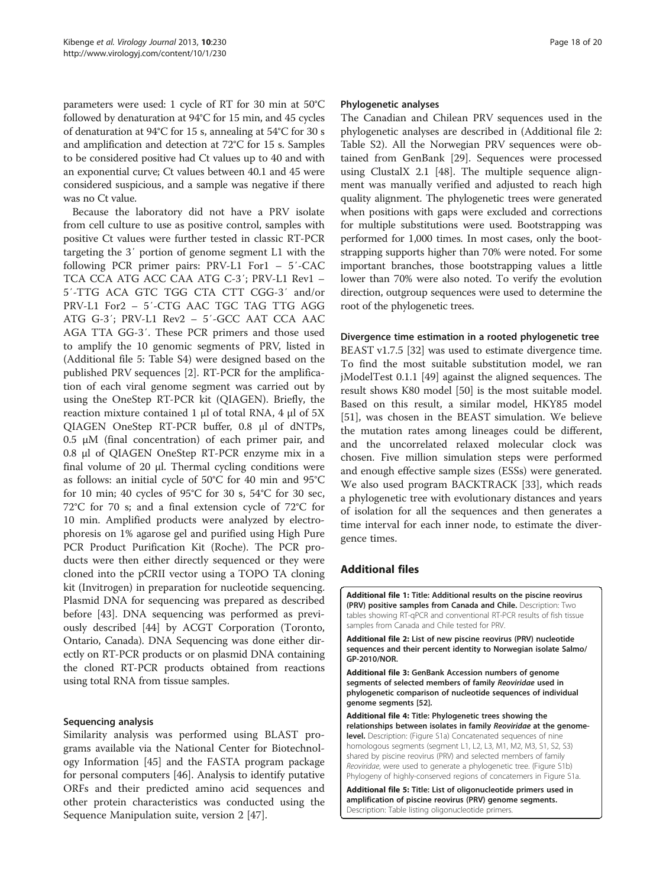<span id="page-17-0"></span>parameters were used: 1 cycle of RT for 30 min at 50°C followed by denaturation at 94°C for 15 min, and 45 cycles of denaturation at 94°C for 15 s, annealing at 54°C for 30 s and amplification and detection at 72°C for 15 s. Samples to be considered positive had Ct values up to 40 and with an exponential curve; Ct values between 40.1 and 45 were considered suspicious, and a sample was negative if there was no Ct value.

Because the laboratory did not have a PRV isolate from cell culture to use as positive control, samples with positive Ct values were further tested in classic RT-PCR targeting the 3′ portion of genome segment L1 with the following PCR primer pairs: PRV-L1 For1 – 5′-CAC TCA CCA ATG ACC CAA ATG C-3′; PRV-L1 Rev1 – 5′-TTG ACA GTC TGG CTA CTT CGG-3′ and/or PRV-L1 For2 – 5′-CTG AAC TGC TAG TTG AGG ATG G-3′; PRV-L1 Rev2 – 5′-GCC AAT CCA AAC AGA TTA GG-3′. These PCR primers and those used to amplify the 10 genomic segments of PRV, listed in (Additional file 5: Table S4) were designed based on the published PRV sequences [[2\]](#page-18-0). RT-PCR for the amplification of each viral genome segment was carried out by using the OneStep RT-PCR kit (QIAGEN). Briefly, the reaction mixture contained 1 μl of total RNA, 4 μl of 5X QIAGEN OneStep RT-PCR buffer, 0.8 μl of dNTPs, 0.5 μM (final concentration) of each primer pair, and 0.8 μl of QIAGEN OneStep RT-PCR enzyme mix in a final volume of 20 μl. Thermal cycling conditions were as follows: an initial cycle of 50°C for 40 min and 95°C for 10 min; 40 cycles of 95°C for 30 s, 54°C for 30 sec, 72°C for 70 s; and a final extension cycle of 72°C for 10 min. Amplified products were analyzed by electrophoresis on 1% agarose gel and purified using High Pure PCR Product Purification Kit (Roche). The PCR products were then either directly sequenced or they were cloned into the pCRII vector using a TOPO TA cloning kit (Invitrogen) in preparation for nucleotide sequencing. Plasmid DNA for sequencing was prepared as described before [\[43\]](#page-19-0). DNA sequencing was performed as previously described [\[44](#page-19-0)] by ACGT Corporation (Toronto, Ontario, Canada). DNA Sequencing was done either directly on RT-PCR products or on plasmid DNA containing the cloned RT-PCR products obtained from reactions using total RNA from tissue samples.

## Sequencing analysis

Similarity analysis was performed using BLAST programs available via the National Center for Biotechnology Information [[45](#page-19-0)] and the FASTA program package for personal computers [\[46\]](#page-19-0). Analysis to identify putative ORFs and their predicted amino acid sequences and other protein characteristics was conducted using the Sequence Manipulation suite, version 2 [\[47\]](#page-19-0).

#### Phylogenetic analyses

The Canadian and Chilean PRV sequences used in the phylogenetic analyses are described in (Additional file 2: Table S2). All the Norwegian PRV sequences were obtained from GenBank [\[29\]](#page-18-0). Sequences were processed using ClustalX 2.1 [\[48](#page-19-0)]. The multiple sequence alignment was manually verified and adjusted to reach high quality alignment. The phylogenetic trees were generated when positions with gaps were excluded and corrections for multiple substitutions were used. Bootstrapping was performed for 1,000 times. In most cases, only the bootstrapping supports higher than 70% were noted. For some important branches, those bootstrapping values a little lower than 70% were also noted. To verify the evolution direction, outgroup sequences were used to determine the root of the phylogenetic trees.

#### Divergence time estimation in a rooted phylogenetic tree

BEAST v1.7.5 [[32\]](#page-19-0) was used to estimate divergence time. To find the most suitable substitution model, we ran jModelTest 0.1.1 [[49\]](#page-19-0) against the aligned sequences. The result shows K80 model [[50\]](#page-19-0) is the most suitable model. Based on this result, a similar model, HKY85 model [[51\]](#page-19-0), was chosen in the BEAST simulation. We believe the mutation rates among lineages could be different, and the uncorrelated relaxed molecular clock was chosen. Five million simulation steps were performed and enough effective sample sizes (ESSs) were generated. We also used program BACKTRACK [[33\]](#page-19-0), which reads a phylogenetic tree with evolutionary distances and years of isolation for all the sequences and then generates a time interval for each inner node, to estimate the divergence times.

## Additional files

[Additional file 1:](http://www.biomedcentral.com/content/supplementary/1743-422X-10-230-S1.doc) Title: Additional results on the piscine reovirus (PRV) positive samples from Canada and Chile. Description: Two tables showing RT-qPCR and conventional RT-PCR results of fish tissue samples from Canada and Chile tested for PRV.

[Additional file 2:](http://www.biomedcentral.com/content/supplementary/1743-422X-10-230-S2.doc) List of new piscine reovirus (PRV) nucleotide sequences and their percent identity to Norwegian isolate Salmo/ GP-2010/NOR.

[Additional file 3:](http://www.biomedcentral.com/content/supplementary/1743-422X-10-230-S3.doc) GenBank Accession numbers of genome segments of selected members of family Reoviridae used in phylogenetic comparison of nucleotide sequences of individual genome segments [[52\]](#page-19-0).

[Additional file 4:](http://www.biomedcentral.com/content/supplementary/1743-422X-10-230-S4.pdf) Title: Phylogenetic trees showing the relationships between isolates in family Reoviridae at the genomelevel. Description: (Figure S1a) Concatenated sequences of nine homologous segments (segment L1, L2, L3, M1, M2, M3, S1, S2, S3) shared by piscine reovirus (PRV) and selected members of family Reoviridae, were used to generate a phylogenetic tree. (Figure S1b) Phylogeny of highly-conserved regions of concatemers in Figure S1a.

[Additional file 5:](http://www.biomedcentral.com/content/supplementary/1743-422X-10-230-S5.doc) Title: List of oligonucleotide primers used in amplification of piscine reovirus (PRV) genome segments. Description: Table listing oligonucleotide primers.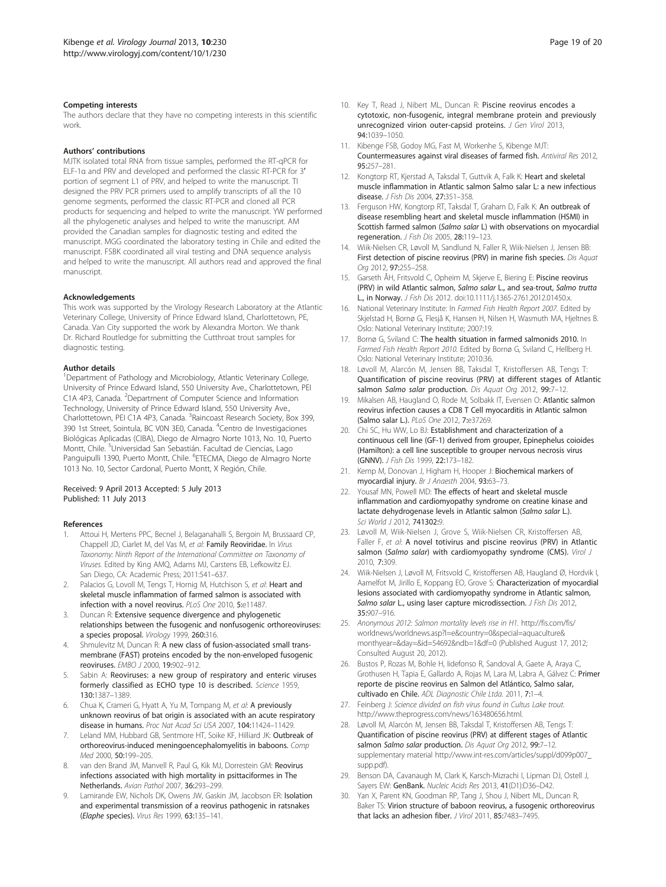#### <span id="page-18-0"></span>Competing interests

The authors declare that they have no competing interests in this scientific work.

#### Authors' contributions

MJTK isolated total RNA from tissue samples, performed the RT-qPCR for ELF-1α and PRV and developed and performed the classic RT-PCR for 3′ portion of segment L1 of PRV, and helped to write the manuscript. TI designed the PRV PCR primers used to amplify transcripts of all the 10 genome segments, performed the classic RT-PCR and cloned all PCR products for sequencing and helped to write the manuscript. YW performed all the phylogenetic analyses and helped to write the manuscript. AM provided the Canadian samples for diagnostic testing and edited the manuscript. MGG coordinated the laboratory testing in Chile and edited the manuscript. FSBK coordinated all viral testing and DNA sequence analysis and helped to write the manuscript. All authors read and approved the final manuscript.

#### Acknowledgements

This work was supported by the Virology Research Laboratory at the Atlantic Veterinary College, University of Prince Edward Island, Charlottetown, PE, Canada. Van City supported the work by Alexandra Morton. We thank Dr. Richard Routledge for submitting the Cutthroat trout samples for diagnostic testing.

#### Author details

<sup>1</sup>Department of Pathology and Microbiology, Atlantic Veterinary College, University of Prince Edward Island, 550 University Ave., Charlottetown, PEI C1A 4P3, Canada. <sup>2</sup>Department of Computer Science and Information Technology, University of Prince Edward Island, 550 University Ave., Charlottetown, PEI C1A 4P3, Canada. <sup>3</sup>Raincoast Research Society, Box 399, 390 1st Street, Sointula, BC V0N 3E0, Canada. <sup>4</sup>Centro de Investigaciones Biológicas Aplicadas (CIBA), Diego de Almagro Norte 1013, No. 10, Puerto Montt, Chile. <sup>5</sup>Universidad San Sebastián. Facultad de Ciencias, Lago Panguipulli 1390, Puerto Montt, Chile. <sup>6</sup>ETECMA, Diego de Almagro Norte 1013 No. 10, Sector Cardonal, Puerto Montt, X Región, Chile.

#### Received: 9 April 2013 Accepted: 5 July 2013 Published: 11 July 2013

#### References

- 1. Attoui H, Mertens PPC, Becnel J, Belaganahalli S, Bergoin M, Brussaard CP, Chappell JD, Ciarlet M, del Vas M, et al: Family Reoviridae. In Virus Taxonomy: Ninth Report of the International Committee on Taxonomy of Viruses. Edited by King AMQ, Adams MJ, Carstens EB, Lefkowitz EJ. San Diego, CA: Academic Press; 2011:541–637.
- Palacios G, Lovoll M, Tengs T, Hornig M, Hutchison S, et al: Heart and skeletal muscle inflammation of farmed salmon is associated with infection with a novel reovirus. PLoS One 2010, 5:e11487.
- 3. Duncan R: Extensive sequence divergence and phylogenetic relationships between the fusogenic and nonfusogenic orthoreoviruses: a species proposal. Virology 1999, 260:316.
- Shmulevitz M, Duncan R: A new class of fusion-associated small transmembrane (FAST) proteins encoded by the non-enveloped fusogenic reoviruses. EMBO J 2000, 19:902–912.
- 5. Sabin A: Reoviruses: a new group of respiratory and enteric viruses formerly classified as ECHO type 10 is described. Science 1959, 130:1387–1389.
- 6. Chua K, Crameri G, Hyatt A, Yu M, Tompang M, et al: A previously unknown reovirus of bat origin is associated with an acute respiratory disease in humans. Proc Nat Acad Sci USA 2007, 104:11424–11429.
- 7. Leland MM, Hubbard GB, Sentmore HT, Soike KF, Hilliard JK: Outbreak of orthoreovirus-induced meningoencephalomyelitis in baboons. Comp Med 2000, 50:199–205.
- van den Brand JM, Manvell R, Paul G, Kik MJ, Dorrestein GM: Reovirus infections associated with high mortality in psittaciformes in The Netherlands. Avian Pathol 2007, 36:293–299.
- Lamirande EW, Nichols DK, Owens JW, Gaskin JM, Jacobson ER: Isolation and experimental transmission of a reovirus pathogenic in ratsnakes (Elaphe species). Virus Res 1999, 63:135–141.
- 10. Key T, Read J, Nibert ML, Duncan R: Piscine reovirus encodes a cytotoxic, non-fusogenic, integral membrane protein and previously unrecognized virion outer-capsid proteins. J Gen Virol 2013, 94:1039–1050.
- 11. Kibenge FSB, Godoy MG, Fast M, Workenhe S, Kibenge MJT: Countermeasures against viral diseases of farmed fish. Antiviral Res 2012, 95:257–281.
- 12. Kongtorp RT, Kjerstad A, Taksdal T, Guttvik A, Falk K: Heart and skeletal muscle inflammation in Atlantic salmon Salmo salar L: a new infectious disease. J Fish Dis 2004, 27:351–358.
- 13. Ferguson HW, Kongtorp RT, Taksdal T, Graham D, Falk K: An outbreak of disease resembling heart and skeletal muscle inflammation (HSMI) in Scottish farmed salmon (Salmo salar L) with observations on myocardial regeneration. J Fish Dis 2005, 28:119–123.
- 14. Wiik-Nielsen CR, Løvoll M, Sandlund N, Faller R, Wiik-Nielsen J, Jensen BB: First detection of piscine reovirus (PRV) in marine fish species. Dis Aquat Org 2012, 97:255–258.
- 15. Garseth ÅH, Fritsvold C, Opheim M, Skjerve E, Biering E: Piscine reovirus (PRV) in wild Atlantic salmon, Salmo salar L., and sea-trout, Salmo trutta L., in Norway. J Fish Dis 2012. doi:[10.1111/j.1365-2761.2012.01450.x](http://dx.doi.org/10.1111/j.1365-2761.2012.01450.x).
- 16. National Veterinary Institute: In Farmed Fish Health Report 2007. Edited by Skjelstad H, Bornø G, Flesjå K, Hansen H, Nilsen H, Wasmuth MA, Hjeltnes B. Oslo: National Veterinary Institute; 2007:19.
- 17. Bornø G, Sviland C: The health situation in farmed salmonids 2010. In Farmed Fish Health Report 2010. Edited by Bornø G, Sviland C, Hellberg H. Oslo: National Veterinary Institute; 2010:36.
- 18. Løvoll M, Alarcón M, Jensen BB, Taksdal T, Kristoffersen AB, Tengs T: Quantification of piscine reovirus (PRV) at different stages of Atlantic salmon Salmo salar production. Dis Aquat Org 2012, 99:7-12.
- 19. Mikalsen AB, Haugland O, Rode M, Solbakk IT, Evensen O: Atlantic salmon reovirus infection causes a CD8 T Cell myocarditis in Atlantic salmon (Salmo salar L.). PLoS One 2012, 7:e37269.
- 20. Chi SC, Hu WW, Lo BJ: Establishment and characterization of a continuous cell line (GF-1) derived from grouper, Epinephelus coioides (Hamilton): a cell line susceptible to grouper nervous necrosis virus (GNNV). J Fish Dis 1999, 22:173–182.
- 21. Kemp M, Donovan J, Higham H, Hooper J: Biochemical markers of myocardial injury. Br J Anaesth 2004, 93:63–73.
- 22. Yousaf MN, Powell MD: The effects of heart and skeletal muscle inflammation and cardiomyopathy syndrome on creatine kinase and lactate dehydrogenase levels in Atlantic salmon (Salmo salar L.). Sci World J 2012, 741302:9.
- 23. Løvoll M, Wiik-Nielsen J, Grove S, Wiik-Nielsen CR, Kristoffersen AB, Faller F, et al: A novel totivirus and piscine reovirus (PRV) in Atlantic salmon (Salmo salar) with cardiomyopathy syndrome (CMS). Virol J 2010, 7:309.
- 24. Wiik-Nielsen J, Løvoll M, Fritsvold C, Kristoffersen AB, Haugland Ø, Hordvik I, Aamelfot M, Jirillo E, Koppang EO, Grove S: Characterization of myocardial lesions associated with cardiomyopathy syndrome in Atlantic salmon, Salmo salar L., using laser capture microdissection. J Fish Dis 2012, 35:907–916.
- 25. Anonymous 2012: Salmon mortality levels rise in H1. [http://fis.com/fis/](http://fis.com/fis/worldnews/worldnews.asp?l=e&country=0&special=aquaculture&monthyear=&day=&id=54692&ndb=1&df=0) [worldnews/worldnews.asp?l=e&country=0&special=aquaculture&](http://fis.com/fis/worldnews/worldnews.asp?l=e&country=0&special=aquaculture&monthyear=&day=&id=54692&ndb=1&df=0) [monthyear=&day=&id=54692&ndb=1&df=0](http://fis.com/fis/worldnews/worldnews.asp?l=e&country=0&special=aquaculture&monthyear=&day=&id=54692&ndb=1&df=0) (Published August 17, 2012; Consulted August 20, 2012).
- 26. Bustos P, Rozas M, Bohle H, Iidefonso R, Sandoval A, Gaete A, Araya C, Grothusen H, Tapia E, Gallardo A, Rojas M, Lara M, Labra A, Gálvez C: Primer reporte de piscine reovirus en Salmon del Atlántico, Salmo salar, cultivado en Chile. ADL Diagnostic Chile Ltda. 2011, 7:1–4.
- 27. Feinberg J: Science divided on fish virus found in Cultus Lake trout. [http://www.theprogress.com/news/163480656.html.](http://www.theprogress.com/news/163480656.html)
- 28. Løvoll M, Alarcón M, Jensen BB, Taksdal T, Kristoffersen AB, Tengs T: Quantification of piscine reovirus (PRV) at different stages of Atlantic salmon Salmo salar production. Dis Aquat Org 2012, 99:7-12. supplementary material [http://www.int-res.com/articles/suppl/d099p007\\_](http://www.int-res.com/articles/suppl/d099p007_supp.pdf) [supp.pdf\)](http://www.int-res.com/articles/suppl/d099p007_supp.pdf).
- 29. Benson DA, Cavanaugh M, Clark K, Karsch-Mizrachi I, Lipman DJ, Ostell J, Sayers EW: GenBank. Nucleic Acids Res 2013, 41(D1):D36–D42.
- 30. Yan X, Parent KN, Goodman RP, Tang J, Shou J, Nibert ML, Duncan R, Baker TS: Virion structure of baboon reovirus, a fusogenic orthoreovirus that lacks an adhesion fiber. J Virol 2011, 85:7483-7495.